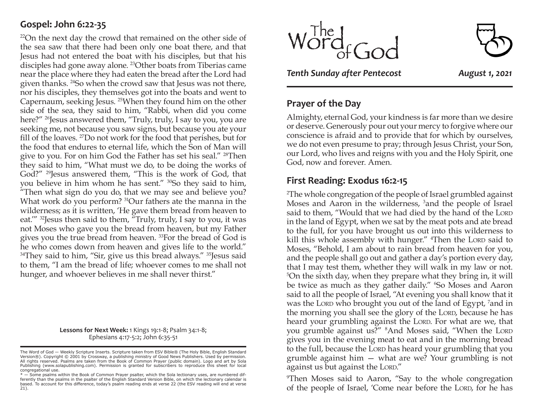### **Gospel: John 6:22-35**

22On the next day the crowd that remained on the other side of the sea saw that there had been only one boat there, and that Jesus had not entered the boat with his disciples, but that his disciples had gone away alone. 23Other boats from Tiberias came near the place where they had eaten the bread after the Lord had given thanks. 24So when the crowd saw that Jesus was not there, nor his disciples, they themselves got into the boats and went to Capernaum, seeking Jesus. 25When they found him on the other side of the sea, they said to him, "Rabbi, when did you come here?" <sup>26</sup>Jesus answered them, "Truly, truly, I say to you, you are seeking me, not because you saw signs, but because you ate your fill of the loaves. 27Do not work for the food that perishes, but for the food that endures to eternal life, which the Son of Man will give to you. For on him God the Father has set his seal." 28Then they said to him, "What must we do, to be doing the works of God?" <sup>29</sup>Jesus answered them, "This is the work of God, that you believe in him whom he has sent." 30So they said to him, "Then what sign do you do, that we may see and believe you? What work do you perform? <sup>31</sup>Our fathers ate the manna in the wilderness; as it is written, 'He gave them bread from heaven to eat."" <sup>32</sup> [esus then said to them, "Truly, truly, I say to you, it was not Moses who gave you the bread from heaven, but my Father gives you the true bread from heaven. 33For the bread of God is he who comes down from heaven and gives life to the world."  $34$ They said to him, "Sir, give us this bread always."  $35$  Jesus said to them, "I am the bread of life; whoever comes to me shall not hunger, and whoever believes in me shall never thirst."

> **Lessons for Next Week:** 1 Kings 19:1-8; Psalm 34:1-8; Ephesians 4:17-5:2; John 6:35-51



*Tenth Sunday after Pentecost August 1, 2021*

### **Prayer of the Day**

Almighty, eternal God, your kindness is far more than we desire or deserve. Generously pour out your mercy to forgive where our conscience is afraid and to provide that for which by ourselves, we do not even presume to pray; through Jesus Christ, your Son, our Lord, who lives and reigns with you and the Holy Spirit, one God, now and forever. Amen.

### **First Reading: Exodus 16:2-15**

2 The whole congregation of the people of Israel grumbled against Moses and Aaron in the wilderness, <sup>3</sup>and the people of Israel said to them, "Would that we had died by the hand of the LORD in the land of Egypt, when we sat by the meat pots and ate bread to the full, for you have brought us out into this wilderness to kill this whole assembly with hunger." <sup>4</sup>Then the Loro said to Moses, "Behold, I am about to rain bread from heaven for you, and the people shall go out and gather a day's portion every day, that I may test them, whether they will walk in my law or not. 5 On the sixth day, when they prepare what they bring in, it will be twice as much as they gather daily." <sup>6</sup>So Moses and Aaron said to all the people of Israel, "At evening you shall know that it was the Lorp who brought you out of the land of Egypt, <sup>7</sup>and in the morning you shall see the glory of the LORD, because he has heard your grumbling against the LORD. For what are we, that you grumble against us?" <sup>8</sup>And Moses said, "When the Loro gives you in the evening meat to eat and in the morning bread to the full, because the LORD has heard your grumbling that you grumble against him — what are we? Your grumbling is not against us but against the LORD."

9 Then Moses said to Aaron, "Say to the whole congregation of the people of Israel, 'Come near before the LORD, for he has

The Word of God - Weekly Scripture Inserts. Scripture taken from ESV Bible® (The Holy Bible, English Standard Version®). Copyright © 2001 by Crossway, a publishing ministry of Good News Publishers. Used by permission.<br>All rights reserved. Psalms are taken from the Book of Common Prayer (public domain). Logo and art by Sola<br>Publish congregational use.

<sup>\* —</sup> Some psalms within the Book of Common Prayer psalter, which the Sola lectionary uses, are numbered dif-ferently than the psalms in the psalter of the English Standard Version Bible, on which the lectionary calendar is based. To account for this difference, today's psalm reading ends at verse 22 (the ESV reading will end at verse 21).